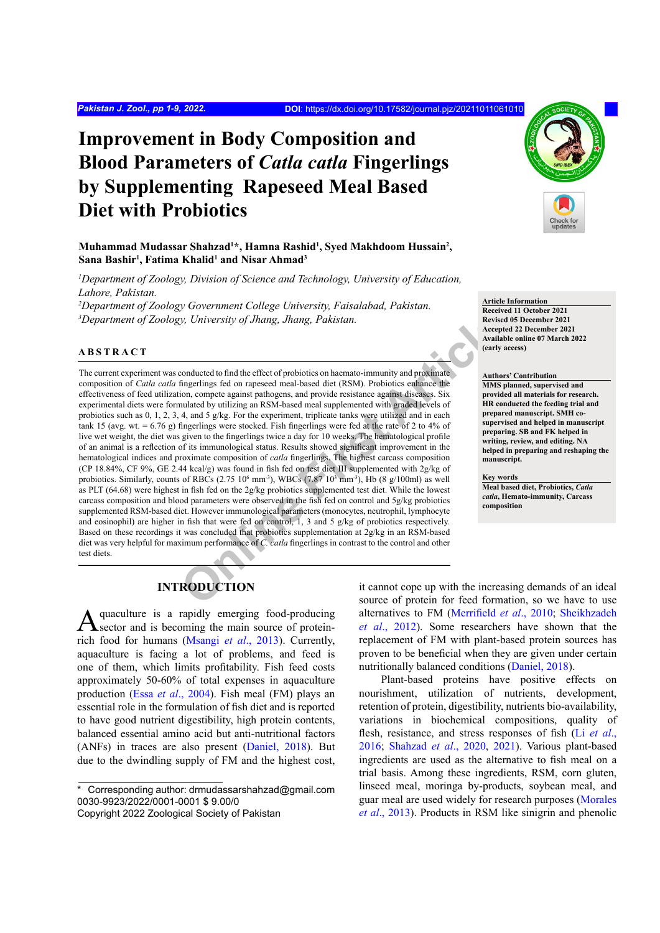# **Improvement in Body Composition and Blood Parameters of** *Catla catla* **Fingerlings by Supplementing Rapeseed Meal Based Diet with Probiotics**

**Muhammad Mudassar Shahzad1 \*, Hamna Rashid1 , Syed Makhdoom Hussain2 , Sana Bashir1 , Fatima Khalid1 and Nisar Ahmad3**

*1 Department of Zoology, Division of Science and Technology, University of Education, Lahore, Pakistan.*

*2 Department of Zoology Government College University, Faisalabad, Pakistan. 3 Department of Zoology, University of Jhang, Jhang, Pakistan.*

#### **ABSTRACT**

**The Mathematical Scheme of the Conducted of the Articlean Scheme of C.** called functions are a section of the articlean Scheme of the method of the method of the method of the small of the small of the small of the small The current experiment was conducted to find the effect of probiotics on haemato-immunity and proximate composition of *Catla catla* fingerlings fed on rapeseed meal-based diet (RSM). Probiotics enhance the effectiveness of feed utilization, compete against pathogens, and provide resistance against diseases. Six experimental diets were formulated by utilizing an RSM-based meal supplemented with graded levels of probiotics such as 0, 1, 2, 3, 4, and 5 g/kg. For the experiment, triplicate tanks were utilized and in each tank 15 (avg. wt. = 6.76 g) fingerlings were stocked. Fish fingerlings were fed at the rate of 2 to 4% of live wet weight, the diet was given to the fingerlings twice a day for 10 weeks. The hematological profile of an animal is a reflection of its immunological status. Results showed significant improvement in the hematological indices and proximate composition of *catla* fingerlings. The highest carcass composition (CP 18.84%, CF 9%, GE 2.44 kcal/g) was found in fish fed on test diet III supplemented with 2g/kg of probiotics. Similarly, counts of RBCs  $(2.75 \ 10^6 \text{ mm}^3)$ , WBCs  $(7.87 \ 10^3 \text{ mm}^3)$ , Hb  $(8 \text{ g}/100 \text{ml})$  as well as PLT (64.68) were highest in fish fed on the 2g/kg probiotics supplemented test diet. While the lowest carcass composition and blood parameters were observed in the fish fed on control and 5g/kg probiotics supplemented RSM-based diet. However immunological parameters (monocytes, neutrophil, lymphocyte and eosinophil) are higher in fish that were fed on control, 1, 3 and 5 g/kg of probiotics respectively. Based on these recordings it was concluded that probiotics supplementation at 2g/kg in an RSM-based diet was very helpful for maximum performance of *C. catla* fingerlings in contrast to the control and other test diets.



**Article Information Received 11 October 2021 Revised 05 December 2021 Accepted 22 December 2021 Available online 07 March 2022 (early access)**

#### **Authors' Contribution**

**MMS planned, supervised and provided all materials for research. HR conducted the feeding trial and prepared manuscript. SMH cosupervised and helped in manuscript preparing. SB and FK helped in writing, review, and editing. NA helped in preparing and reshaping the manuscript.**

#### **Key words**

**Meal based diet, Probiotics,** *Catla catla***, Hemato-immunity, Carcass composition**

# **INTRODUCTION**

quaculture is a rapidly emerging food-producing sector and is becoming the main source of proteinrich food for humans ([Msangi](#page-7-0) *et al*., 2013). Currently, aquaculture is facing a lot of problems, and feed is one of them, which limits profitability. Fish feed costs approximately 50-60% of total expenses in aquaculture production (Essa *et al*[., 2004\)](#page-6-0). Fish meal (FM) plays an essential role in the formulation of fish diet and is reported to have good nutrient digestibility, high protein contents, balanced essential amino acid but anti-nutritional factors (ANFs) in traces are also present ([Daniel, 2018\)](#page-6-1). But due to the dwindling supply of FM and the highest cost,

\* Corresponding author: drmudassarshahzad@gmail.com 0030-9923/2022/0001-0001 \$ 9.00/0

it cannot cope up with the increasing demands of an ideal source of protein for feed formation, so we have to use alternatives to FM ([Merrifield](#page-7-1) *et al*., 2010; [Sheikhzadeh](#page-8-0) *et al*[., 2012\)](#page-8-0). Some researchers have shown that the replacement of FM with plant-based protein sources has proven to be beneficial when they are given under certain nutritionally balanced conditions [\(Daniel, 2018](#page-6-1)).

Plant-based proteins have positive effects on nourishment, utilization of nutrients, development, retention of protein, digestibility, nutrients bio-availability, variations in biochemical compositions, quality of flesh, resistance, and stress responses of fish (Li *[et al](#page-7-2)*., [2016](#page-7-2); [Shahzad](#page-8-1) *et al*., 2020, [2021](#page-8-2)). Various plant-based ingredients are used as the alternative to fish meal on a trial basis. Among these ingredients, RSM, corn gluten, linseed meal, moringa by-products, soybean meal, and guar meal are used widely for research purposes ([Morales](#page-7-3) *et al*[., 2013](#page-7-3)). Products in RSM like sinigrin and phenolic

Copyright 2022 Zoological Society of Pakistan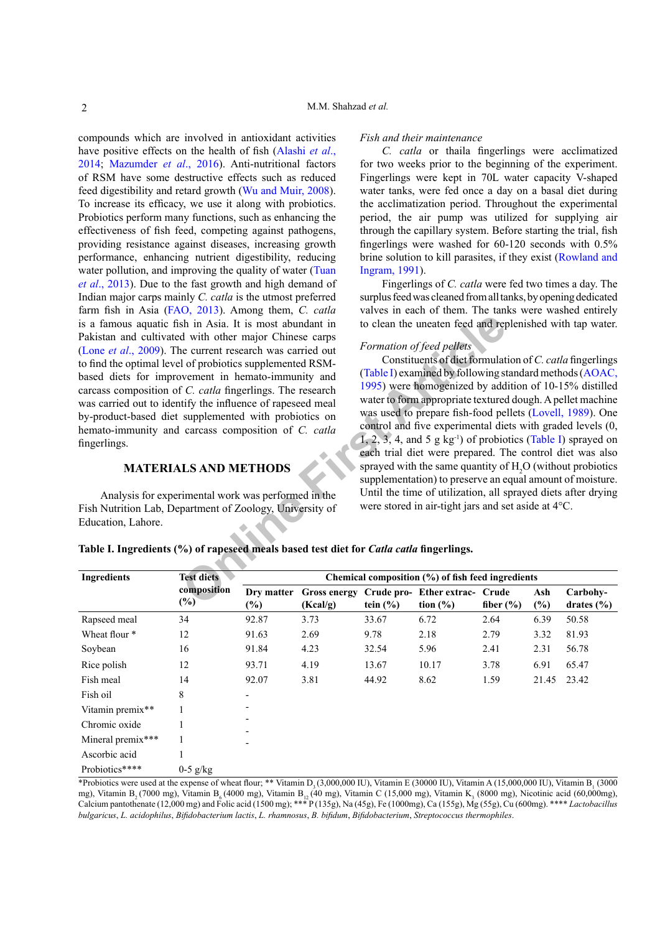compounds which are involved in antioxidant activities have positive effects on the health of fish ([Alashi](#page-6-2) *et al*., [2014](#page-6-2); [Mazumder](#page-7-4) *et al*., 2016). Anti-nutritional factors of RSM have some destructive effects such as reduced feed digestibility and retard growth ([Wu and Muir, 2008](#page-8-3)). To increase its efficacy, we use it along with probiotics. Probiotics perform many functions, such as enhancing the effectiveness of fish feed, competing against pathogens, providing resistance against diseases, increasing growth performance, enhancing nutrient digestibility, reducing water pollution, and improving the quality of water ([Tuan](#page-8-4) *et al*[., 2013](#page-8-4)). Due to the fast growth and high demand of Indian major carps mainly *C. catla* is the utmost preferred farm fish in Asia [\(FAO, 2013\)](#page-6-3). Among them, *C. catla* is a famous aquatic fish in Asia. It is most abundant in Pakistan and cultivated with other major Chinese carps (Lone *et al*[., 2009](#page-7-5)). The current research was carried out to find the optimal level of probiotics supplemented RSMbased diets for improvement in hemato-immunity and carcass composition of *C. catla* fingerlings. The research was carried out to identify the influence of rapeseed meal by-product-based diet supplemented with probiotics on hemato-immunity and carcass composition of *C. catla*  fingerlings.

# **MATERIALS AND METHODS**

Analysis for experimental work was performed in the Fish Nutrition Lab, Department of Zoology, University of Education, Lahore.

#### *Fish and their maintenance*

*C. catla* or thaila fingerlings were acclimatized for two weeks prior to the beginning of the experiment. Fingerlings were kept in 70L water capacity V-shaped water tanks, were fed once a day on a basal diet during the acclimatization period. Throughout the experimental period, the air pump was utilized for supplying air through the capillary system. Before starting the trial, fish fingerlings were washed for 60-120 seconds with 0.5% brine solution to kill parasites, if they exist ([Rowland and](#page-8-5) [Ingram, 1991\)](#page-8-5).

Fingerlings of *C. catla* were fed two times a day. The surplus feed was cleaned from all tanks, by opening dedicated valves in each of them. The tanks were washed entirely to clean the uneaten feed and replenished with tap water.

# *Formation of feed pellets*

**Examplemental work was performed in the Until the time of the same and servered means (<sup>2</sup>)<br>
<b>Online First [A](#page-6-4)** and Tep and Tep and Tep and Tep and Tep and Tep and Tep and Tep and Tep and Tep and Tep and Tep and Tep and Tep Constituents of diet formulation of *C. catla* fingerlings (Table I) examined by following standard methods [\(AOAC,](#page-6-4) 1995) were homogenized by addition of 10-15% distilled water to form appropriate textured dough. A pellet machine was used to prepare fish-food pellets [\(Lovell, 1989\)](#page-7-6). One control and five experimental diets with graded levels (0, 1, 2, 3, 4, and 5 g  $kg^{-1}$ ) of probiotics ([Table I\)](#page-1-0) sprayed on each trial diet were prepared. The control diet was also sprayed with the same quantity of  $H_2O$  (without probiotics supplementation) to preserve an equal amount of moisture. Until the time of utilization, all sprayed diets after drying were stored in air-tight jars and set aside at 4°C.

<span id="page-1-0"></span>**Table I. Ingredients (%) of rapeseed meals based test diet for** *Catla catla* **fingerlings.**

| <b>Ingredients</b> | <b>Test diets</b>     | Chemical composition (%) of fish feed ingredients |                                 |              |                                                |               |            |                            |  |
|--------------------|-----------------------|---------------------------------------------------|---------------------------------|--------------|------------------------------------------------|---------------|------------|----------------------------|--|
|                    | composition<br>$(\%)$ | Dry matter<br>$(\%)$                              | <b>Gross energy</b><br>(Kcal/g) | tein $(\% )$ | Crude pro- Ether extrac- Crude<br>tion $(\% )$ | fiber $(\% )$ | Ash<br>(%) | Carbohy-<br>drates $(\% )$ |  |
| Rapseed meal       | 34                    | 92.87                                             | 3.73                            | 33.67        | 6.72                                           | 2.64          | 6.39       | 50.58                      |  |
| Wheat flour *      | 12                    | 91.63                                             | 2.69                            | 9.78         | 2.18                                           | 2.79          | 3.32       | 81.93                      |  |
| Soybean            | 16                    | 91.84                                             | 4.23                            | 32.54        | 5.96                                           | 2.41          | 2.31       | 56.78                      |  |
| Rice polish        | 12                    | 93.71                                             | 4.19                            | 13.67        | 10.17                                          | 3.78          | 6.91       | 65.47                      |  |
| Fish meal          | 14                    | 92.07                                             | 3.81                            | 44.92        | 8.62                                           | 1.59          | 21.45      | 23.42                      |  |
| Fish oil           | 8                     | $\overline{\phantom{a}}$                          |                                 |              |                                                |               |            |                            |  |
| Vitamin premix**   |                       |                                                   |                                 |              |                                                |               |            |                            |  |
| Chromic oxide      |                       |                                                   |                                 |              |                                                |               |            |                            |  |
| Mineral premix***  |                       | $\overline{\phantom{0}}$                          |                                 |              |                                                |               |            |                            |  |
| Ascorbic acid      |                       |                                                   |                                 |              |                                                |               |            |                            |  |
| Probiotics****     | $0-5$ g/kg            |                                                   |                                 |              |                                                |               |            |                            |  |

\*Probiotics were used at the expense of wheat flour; \*\* Vitamin D<sub>3</sub> (3,000,000 IU), Vitamin E (30000 IU), Vitamin A (15,000,000 IU), Vitamin B<sub>1</sub> (3000 mg), Vitamin B<sub>2</sub> (7000 mg), Vitamin B<sub>6</sub> (4000 mg), Vitamin B<sub>12</sub> (40 mg), Vitamin C (15,000 mg), Vitamin K<sub>3</sub> (8000 mg), Nicotinic acid (60,000mg), Calcium pantothenate (12,000 mg) and Folic acid (1500 mg); \*\*\* P (135g), Na (45g), Fe (1000mg), Ca (155g), Mg (55g), Cu (600mg). \*\*\*\* *Lactobacillus bulgaricus*, *L. acidophilus*, *Bifidobacterium lactis*, *L. rhamnosus*, *B. bifidum*, *Bifidobacterium*, *Streptococcus thermophiles*.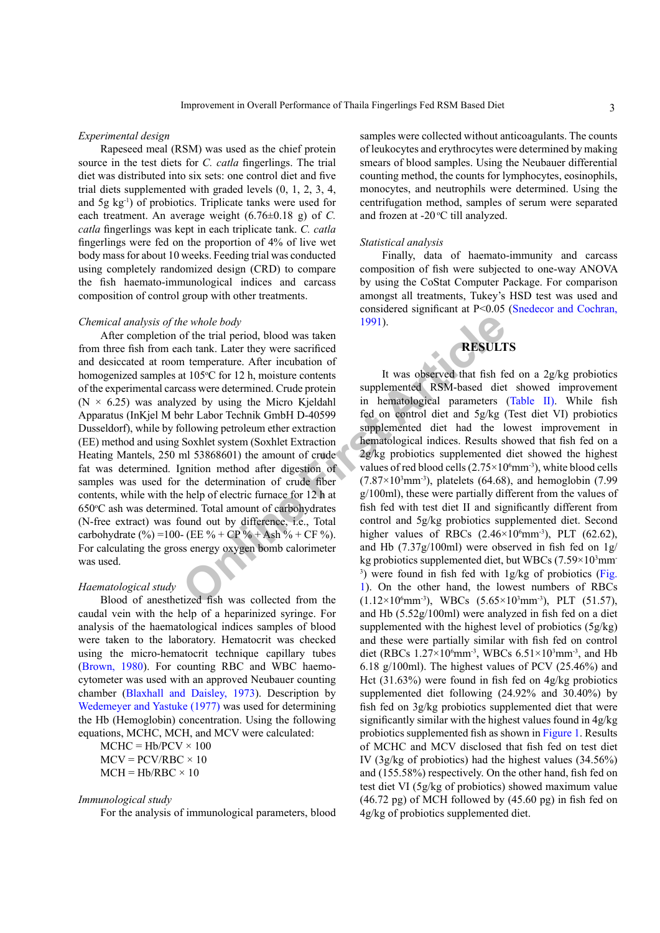#### *Experimental design*

Rapeseed meal (RSM) was used as the chief protein source in the test diets for *C. catla* fingerlings. The trial diet was distributed into six sets: one control diet and five trial diets supplemented with graded levels (0, 1, 2, 3, 4, and 5g kg-1) of probiotics. Triplicate tanks were used for each treatment. An average weight (6.76±0.18 g) of *C. catla* fingerlings was kept in each triplicate tank. *C. catla* fingerlings were fed on the proportion of 4% of live wet body mass for about 10 weeks. Feeding trial was conducted using completely randomized design (CRD) to compare the fish haemato-immunological indices and carcass composition of control group with other treatments.

#### *Chemical analysis of the whole body*

the whole body<br>
of the trial period, blood was taken<br>
not tentil period, blood was taken<br>
tentil period, to the inculation of<br>
the material contents<br>
articles<sup>5</sup>C for 12 h, moisture contents<br>
are determined. Crude protein After completion of the trial period, blood was taken from three fish from each tank. Later they were sacrificed and desiccated at room temperature. After incubation of homogenized samples at 105°C for 12 h, moisture contents of the experimental carcass were determined. Crude protein ( $N \times 6.25$ ) was analyzed by using the Micro Kjeldahl Apparatus (InKjel M behr Labor Technik GmbH D-40599 Dusseldorf), while by following petroleum ether extraction (EE) method and using Soxhlet system (Soxhlet Extraction Heating Mantels, 250 ml 53868601) the amount of crude fat was determined. Ignition method after digestion of samples was used for the determination of crude fiber contents, while with the help of electric furnace for 12 h at 650°C ash was determined. Total amount of carbohydrates (N-free extract) was found out by difference, i.e., Total carbohydrate (%) =100- (EE % + CP % + Ash % + CF %). For calculating the gross energy oxygen bomb calorimeter was used.

## *Haematological study*

Blood of anesthetized fish was collected from the caudal vein with the help of a heparinized syringe. For analysis of the haematological indices samples of blood were taken to the laboratory. Hematocrit was checked using the micro-hematocrit technique capillary tubes [\(Brown, 1980](#page-6-5)). For counting RBC and WBC haemocytometer was used with an approved Neubauer counting chamber ([Blaxhall and Daisley, 1973](#page-6-6)). Description by [Wedemeyer and Yastuke \(1977\)](#page-8-6) was used for determining the Hb (Hemoglobin) concentration. Using the following equations, MCHC, MCH, and MCV were calculated:

 $MCHC = Hb/PCV \times 100$  $MCV = PCV/RBC \times 10$  $MCH = Hb/RBC \times 10$ 

#### *Immunological study*

For the analysis of immunological parameters, blood

samples were collected without anticoagulants. The counts of leukocytes and erythrocytes were determined by making smears of blood samples. Using the Neubauer differential counting method, the counts for lymphocytes, eosinophils, monocytes, and neutrophils were determined. Using the centrifugation method, samples of serum were separated and frozen at -20 $\mathrm{^{\circ}C}$  till analyzed.

# *Statistical analysis*

Finally, data of haemato-immunity and carcass composition of fish were subjected to one-way ANOVA by using the CoStat Computer Package. For comparison amongst all treatments, Tukey's HSD test was used and considered significant at P<0.05 [\(Snedecor and Cochran,](#page-8-7) 1991).



It was observed that fish fed on a 2g/kg probiotics supplemented RSM-based diet showed improvement in hematological parameters [\(Table II\)](#page-3-0). While fish fed on control diet and 5g/kg (Test diet VI) probiotics supplemented diet had the lowest improvement in hematological indices. Results showed that fish fed on a 2g/kg probiotics supplemented diet showed the highest values of red blood cells  $(2.75\times10^6 \text{mm}^3)$ , white blood cells  $(7.87\times10^3 \text{mm}^3)$ , platelets  $(64.68)$ , and hemoglobin  $(7.99)$ g/100ml), these were partially different from the values of fish fed with test diet II and significantly different from control and 5g/kg probiotics supplemented diet. Second higher values of RBCs  $(2.46 \times 10^6 \text{mm}^3)$ , PLT  $(62.62)$ , and Hb (7.37g/100ml) were observed in fish fed on 1g/ kg probiotics supplemented diet, but WBCs  $(7.59\times10^{3} \text{mm})$ 3 ) were found in fish fed with 1g/kg of probiotics [\(Fig.](#page-3-1) 1). On the other hand, the lowest numbers of RBCs  $(1.12 \times 10^6 \text{mm}^3)$ , WBCs  $(5.65 \times 10^3 \text{mm}^3)$ , PLT  $(51.57)$ , and Hb (5.52g/100ml) were analyzed in fish fed on a diet supplemented with the highest level of probiotics (5g/kg) and these were partially similar with fish fed on control diet (RBCs  $1.27 \times 10^6$ mm<sup>-3</sup>, WBCs  $6.51 \times 10^3$ mm<sup>-3</sup>, and Hb 6.18 g/100ml). The highest values of PCV (25.46%) and Hct (31.63%) were found in fish fed on 4g/kg probiotics supplemented diet following (24.92% and 30.40%) by fish fed on 3g/kg probiotics supplemented diet that were significantly similar with the highest values found in 4g/kg probiotics supplemented fish as shown in [Figure 1](#page-3-1). Results of MCHC and MCV disclosed that fish fed on test diet IV (3g/kg of probiotics) had the highest values (34.56%) and (155.58%) respectively. On the other hand, fish fed on test diet VI (5g/kg of probiotics) showed maximum value (46.72 pg) of MCH followed by (45.60 pg) in fish fed on 4g/kg of probiotics supplemented diet.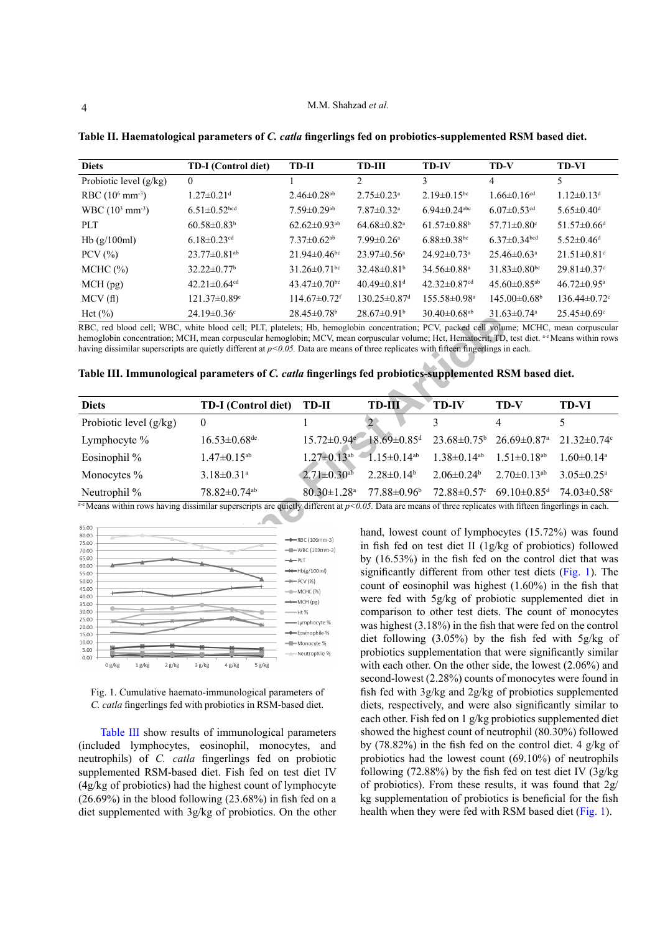| <b>Diets</b>              | <b>TD-I</b> (Control diet)     | TD-II                          | <b>TD-III</b>                  | <b>TD-IV</b>                   | TD-V                           | <b>TD-VI</b>                  |
|---------------------------|--------------------------------|--------------------------------|--------------------------------|--------------------------------|--------------------------------|-------------------------------|
| Probiotic level $(g/kg)$  | $\theta$                       |                                | $\mathfrak{D}$                 | 3                              | 4                              | 5                             |
| RBC $(10^6 \text{ mm}^3)$ | $1.27 \pm 0.21$ <sup>d</sup>   | $2.46\pm 0.28$ <sup>ab</sup>   | $2.75 \pm 0.23$ <sup>a</sup>   | $2.19 \pm 0.15$ <sup>bc</sup>  | $1.66 \pm 0.16$ <sup>cd</sup>  | $1.12 \pm 0.13$ <sup>d</sup>  |
| $WBC (103 mm-3)$          | $6.51 \pm 0.52$ bcd            | $7.59 \pm 0.29$ <sup>ab</sup>  | $7.87 \pm 0.32$ <sup>a</sup>   | $6.94\pm 0.24$ <sup>abc</sup>  | $6.07 \pm 0.53$ <sup>cd</sup>  | $5.65 \pm 0.40$ <sup>d</sup>  |
| PLT                       | $60.58 \pm 0.83^b$             | $62.62 \pm 0.93$ <sup>ab</sup> | $64.68 \pm 0.82$ <sup>a</sup>  | $61.57 \pm 0.88$ <sup>b</sup>  | $57.71 \pm 0.80$ <sup>c</sup>  | $51.57 \pm 0.66$ <sup>d</sup> |
| Hb $(g/100ml)$            | 6.18 $\pm$ 0.23 <sup>cd</sup>  | $7.37 \pm 0.62$ <sup>ab</sup>  | $7.99 \pm 0.26$ <sup>a</sup>   | $6.88 \pm 0.38$ bc             | $6.37\pm0.34$ <sub>bcd</sub>   | $5.52 \pm 0.46$ <sup>d</sup>  |
| PCV $(% )$                | $23.77 \pm 0.81$ <sup>ab</sup> | $21.94 \pm 0.46$ <sup>bc</sup> | $23.97 \pm 0.56^{\circ}$       | $24.92 \pm 0.73$ <sup>a</sup>  | $25.46\pm0.63^{\circ}$         | $21.51 \pm 0.81$ <sup>c</sup> |
| $MCHC$ $(\%)$             | $32.22 \pm 0.77$ <sup>b</sup>  | $31.26 \pm 0.71$ <sup>bc</sup> | $32.48\pm0.81b$                | $34.56 \pm 0.88$ <sup>a</sup>  | $31.83 \pm 0.80$ <sup>bc</sup> | $29.81 \pm 0.37$ °            |
| $MCH$ (pg)                | $42.21 \pm 0.64$ <sup>cd</sup> | 43.47 $\pm$ 0.70 <sup>bc</sup> | $40.49 \pm 0.81$ <sup>d</sup>  | 42.32 $\pm$ 0.87 <sup>cd</sup> | 45.60 $\pm$ 0.85 <sup>ab</sup> | $46.72 \pm 0.95$ <sup>a</sup> |
| MCV(f)                    | $121.37 \pm 0.89$ <sup>e</sup> | $114.67 \pm 0.72$ <sup>f</sup> | $130.25 \pm 0.87$ <sup>d</sup> | $155.58\pm0.98^{\mathrm{a}}$   | $145.00\pm0.68^{\circ}$        | $136.44 \pm 0.72$             |
| Hct (%)                   | $24.19 \pm 0.36$ °             | $28.45 \pm 0.78$ <sup>b</sup>  | $28.67 \pm 0.91^{\circ}$       | $30.40 \pm 0.68$ <sup>ab</sup> | $31.63 \pm 0.74$ <sup>a</sup>  | $25.45 \pm 0.69$ <sup>c</sup> |

<span id="page-3-0"></span>**Table II. Haematological parameters of** *C. catla* **fingerlings fed on probiotics-supplemented RSM based diet.**

|  |  |  |  | Table III. Immunological parameters of C. catla fingerlings fed probiotics-supplemented RSM based diet. |
|--|--|--|--|---------------------------------------------------------------------------------------------------------|
|--|--|--|--|---------------------------------------------------------------------------------------------------------|

|                          | 24.19≖0.JO                                                                                                                                                               | 20.4J±0.70                          | $20.07 \pm 0.91$                                                                                                       | $50.40 \pm 0.00$              | 21.VJ≖V.74°                   | 29.49≖0.09                   |  |
|--------------------------|--------------------------------------------------------------------------------------------------------------------------------------------------------------------------|-------------------------------------|------------------------------------------------------------------------------------------------------------------------|-------------------------------|-------------------------------|------------------------------|--|
|                          | RBC, red blood cell; WBC, white blood cell; PLT, platelets; Hb, hemoglobin concentration; PCV, packed cell volume; MCHC, mean corpuscular                                |                                     |                                                                                                                        |                               |                               |                              |  |
|                          | hemoglobin concentration; MCH, mean corpuscular hemoglobin; MCV, mean corpuscular volume; Hct, Hematocrit, TD, test diet. are Means within rows                          |                                     |                                                                                                                        |                               |                               |                              |  |
|                          | having dissimilar superscripts are quietly different at $p<0.05$ . Data are means of three replicates with fifteen fingerlings in each.                                  |                                     |                                                                                                                        |                               |                               |                              |  |
|                          |                                                                                                                                                                          |                                     |                                                                                                                        |                               |                               |                              |  |
|                          | Table III. Immunological parameters of C. catla fingerlings fed probiotics-supplemented RSM based diet.                                                                  |                                     |                                                                                                                        |                               |                               |                              |  |
|                          |                                                                                                                                                                          |                                     |                                                                                                                        |                               |                               |                              |  |
| <b>Diets</b>             | <b>TD-I</b> (Control diet)                                                                                                                                               | TD-II                               | $TD-III$                                                                                                               | <b>TD-IV</b>                  | TD-V                          | TD-VI                        |  |
| Probiotic level $(g/kg)$ | $\theta$                                                                                                                                                                 |                                     |                                                                                                                        | 3                             | 4                             | 5                            |  |
| Lymphocyte %             | $16.53 \pm 0.68$ de                                                                                                                                                      |                                     | $15.72 \pm 0.94$ <sup>e</sup> 18.69±0.85 <sup>d</sup>                                                                  | $23.68 \pm 0.75$ <sup>b</sup> | $26.69 \pm 0.87$ <sup>a</sup> | $21.32 \pm 0.74$ °           |  |
| Eosinophil %             | $1.47 \pm 0.15^{ab}$                                                                                                                                                     | $1.27 \pm 0.13$ <sup>ab</sup>       | $1.15 \pm 0.14$ <sup>ab</sup>                                                                                          | $1.38 \pm 0.14$ <sup>ab</sup> | $1.51 \pm 0.18$ <sup>ab</sup> | $1.60 \pm 0.14^a$            |  |
| Monocytes %              | $3.18 \pm 0.31$ <sup>a</sup>                                                                                                                                             | $2.71 \pm 0.30^{ab}$                | $2.28 \pm 0.14^b$                                                                                                      | $2.06 \pm 0.24$ <sup>b</sup>  | $2.70 \pm 0.13$ <sup>ab</sup> | $3.05 \pm 0.25$ <sup>a</sup> |  |
| Neutrophil %             | 78.82±0.74 <sup>ab</sup>                                                                                                                                                 | $80.30 \pm 1.28$ <sup>a</sup>       | $77.88 \pm 0.96$                                                                                                       | $72.88 \pm 0.57$ °            | $69.10 \pm 0.85$ <sup>d</sup> | $74.03 \pm 0.58$ c           |  |
|                          | <sup>3-e</sup> Means within rows having dissimilar superscripts are quietly different at $p$ <0.05. Data are means of three replicates with fifteen fingerlings in each. |                                     |                                                                                                                        |                               |                               |                              |  |
|                          |                                                                                                                                                                          |                                     |                                                                                                                        |                               |                               |                              |  |
| 85.00<br>80.00           |                                                                                                                                                                          |                                     | hand, lowest count of lymphocytes (15.72%) was found                                                                   |                               |                               |                              |  |
| 75.00                    |                                                                                                                                                                          | $\rightarrow$ RBC (106mm-3)         | in fish fed on test diet II (1g/kg of probiotics) followed<br>by (16.53%) in the fish fed on the control diet that was |                               |                               |                              |  |
| 70.00<br>65.00           |                                                                                                                                                                          | $-WBC(103mm-3)$                     |                                                                                                                        |                               |                               |                              |  |
| 60.00                    |                                                                                                                                                                          | $+$ PLT                             |                                                                                                                        |                               |                               |                              |  |
| 55.00                    |                                                                                                                                                                          | $\rightarrow\leftarrow$ Hb(g/100ml) | significantly different from other test diets (Fig. 1). The                                                            |                               |                               |                              |  |
| 50.00<br>45.00           |                                                                                                                                                                          | $\rightarrow$ PCV (%)               | count of eosinophil was highest (1.60%) in the fish that<br>were fed with 5g/kg of probiotic supplemented diet in      |                               |                               |                              |  |
| 40.00                    |                                                                                                                                                                          | $-$ -MCHC (%)                       |                                                                                                                        |                               |                               |                              |  |
| 35.00                    |                                                                                                                                                                          | $\longrightarrow$ MCH (pg)          |                                                                                                                        |                               |                               |                              |  |



<span id="page-3-1"></span>Fig. 1. Cumulative haemato-immunological parameters of *C. catla* fingerlings fed with probiotics in RSM-based diet.

Table III show results of immunological parameters (included lymphocytes, eosinophil, monocytes, and neutrophils) of *C. catla* fingerlings fed on probiotic supplemented RSM-based diet. Fish fed on test diet IV (4g/kg of probiotics) had the highest count of lymphocyte  $(26.69\%)$  in the blood following  $(23.68\%)$  in fish fed on a diet supplemented with 3g/kg of probiotics. On the other

hand, lowest count of lymphocytes (15.72%) was found in fish fed on test diet II (1g/kg of probiotics) followed by (16.53%) in the fish fed on the control diet that was significantly different from other test diets [\(Fig. 1\)](#page-3-1). The count of eosinophil was highest (1.60%) in the fish that were fed with 5g/kg of probiotic supplemented diet in comparison to other test diets. The count of monocytes was highest (3.18%) in the fish that were fed on the control diet following (3.05%) by the fish fed with 5g/kg of probiotics supplementation that were significantly similar with each other. On the other side, the lowest (2.06%) and second-lowest (2.28%) counts of monocytes were found in fish fed with 3g/kg and 2g/kg of probiotics supplemented diets, respectively, and were also significantly similar to each other. Fish fed on 1 g/kg probiotics supplemented diet showed the highest count of neutrophil (80.30%) followed by (78.82%) in the fish fed on the control diet. 4 g/kg of probiotics had the lowest count (69.10%) of neutrophils following  $(72.88\%)$  by the fish fed on test diet IV  $(3g/kg)$ of probiotics). From these results, it was found that 2g/ kg supplementation of probiotics is beneficial for the fish health when they were fed with RSM based diet [\(Fig. 1](#page-3-1)).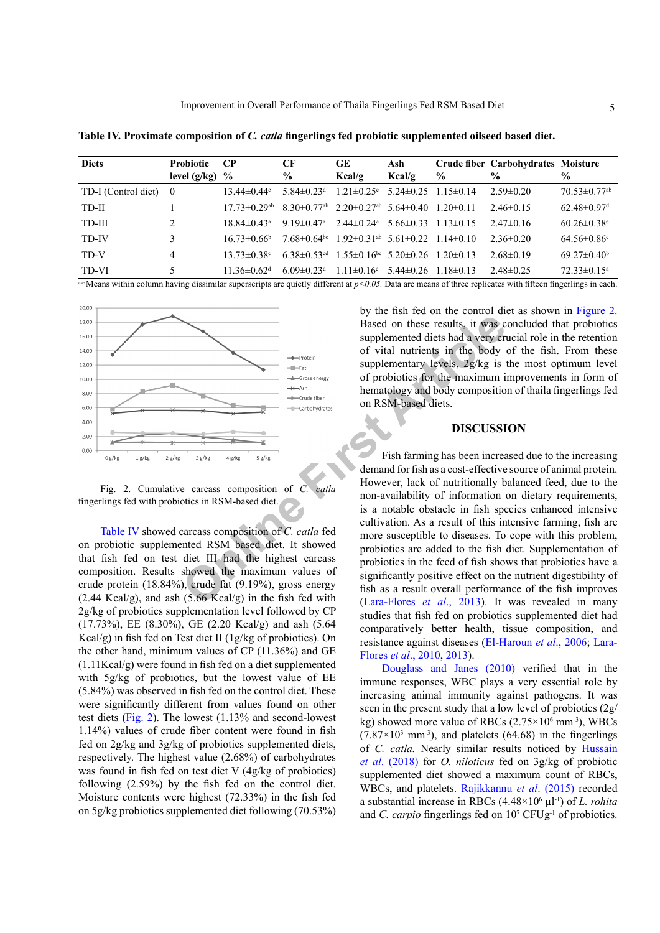| <b>Diets</b>        | <b>Probiotic</b> | $\bf CP$                       | <b>CF</b>                     | <b>GE</b>                                            | Ash             |               | Crude fiber Carbohydrates Moisture |                                |
|---------------------|------------------|--------------------------------|-------------------------------|------------------------------------------------------|-----------------|---------------|------------------------------------|--------------------------------|
|                     | level $(g/kg)$   | $\frac{6}{10}$                 | $\frac{6}{9}$                 | Kcal/g                                               | Kcal/g          | $\frac{6}{9}$ | $\frac{6}{9}$                      | $\frac{0}{0}$                  |
| TD-I (Control diet) | $\overline{0}$   | 13 44 $\pm$ 0 44 $\degree$     | 5 84 $\pm$ 0 23 <sup>d</sup>  | $1.21 \pm 0.25$ °                                    | $5.24 \pm 0.25$ | $1.15\pm0.14$ | $2.59\pm0.20$                      | $70.53 \pm 0.77$ <sup>ab</sup> |
| TD-II               |                  | $17.73 \pm 0.29$ <sup>ab</sup> |                               | $8.30\pm0.77^{ab}$ $2.20\pm0.27^{ab}$ 5.64 $\pm0.40$ |                 | $120 \pm 011$ | $2.46\pm0.15$                      | $62.48 \pm 0.97$ <sup>d</sup>  |
| TD-III              | $\mathfrak{D}$   | $18.84 \pm 0.43$ <sup>a</sup>  | 9 19 $\pm$ 0 47a              | $2.44 \pm 0.24$ <sup>a</sup>                         | $5.66\pm0.33$   | $113\pm0.15$  | $2.47\pm 0.16$                     | $60.26 \pm 0.38$ <sup>e</sup>  |
| TD-IV               |                  | $1673\pm0.66$ <sup>b</sup>     | $7.68 \pm 0.64$ <sup>bc</sup> | $1.92 \pm 0.31$ <sup>ab</sup> 5.61 $\pm$ 0.22        |                 | $114\pm0.10$  | $2.36\pm0.20$                      | $64.56\pm0.86^{\circ}$         |
| TD-V                | 4                | $13.73 \pm 0.38$ °             | 6 38 $\pm$ 0 53d              | $1.55\pm0.16^{bc}$ 5.20 $\pm$ 0.26                   |                 | $120\pm0.13$  | $2.68\pm0.19$                      | $69.27 \pm 0.40^b$             |
| TD-VI               | 5                | 11 36 $\pm$ 0 62 <sup>d</sup>  | 6.09 $\pm$ 0.23 <sup>d</sup>  | $1.11 \pm 0.16$ <sup>c</sup>                         | $5.44\pm0.26$   | $118\pm0.13$  | $2.48\pm0.25$                      | $72.33 \pm 0.15^{\circ}$       |

<span id="page-4-0"></span>**Table IV. Proximate composition of** *C. catla* **fingerlings fed probiotic supplemented oilseed based diet.**

a-e Means within column having dissimilar superscripts are quietly different at  $p<0.05$ . Data are means of three replicates with fifteen fingerlings in each.



<span id="page-4-1"></span>Fig. 2. Cumulative carcass composition of *C. catla* fingerlings fed with probiotics in RSM-based diet.

[Table IV](#page-4-0) showed carcass composition of *C. catla* fed on probiotic supplemented RSM based diet. It showed that fish fed on test diet III had the highest carcass composition. Results showed the maximum values of crude protein (18.84%), crude fat (9.19%), gross energy  $(2.44 \text{ Kcal/g})$ , and ash  $(5.66 \text{ Kcal/g})$  in the fish fed with 2g/kg of probiotics supplementation level followed by CP (17.73%), EE (8.30%), GE (2.20 Kcal/g) and ash (5.64 Kcal/g) in fish fed on Test diet II (1g/kg of probiotics). On the other hand, minimum values of CP (11.36%) and GE (1.11Kcal/g) were found in fish fed on a diet supplemented with 5g/kg of probiotics, but the lowest value of EE (5.84%) was observed in fish fed on the control diet. These were significantly different from values found on other test diets ([Fig. 2\)](#page-4-1). The lowest (1.13% and second-lowest 1.14%) values of crude fiber content were found in fish fed on 2g/kg and 3g/kg of probiotics supplemented diets, respectively. The highest value (2.68%) of carbohydrates was found in fish fed on test diet V (4g/kg of probiotics) following (2.59%) by the fish fed on the control diet. Moisture contents were highest (72.33%) in the fish fed on 5g/kg probiotics supplemented diet following (70.53%) by the fish fed on the control diet as shown in [Figure 2.](#page-4-1) Based on these results, it was concluded that probiotics supplemented diets had a very crucial role in the retention of vital nutrients in the body of the fish. From these supplementary levels, 2g/kg is the most optimum level of probiotics for the maximum improvements in form of hematology and body composition of thaila fingerlings fed on RSM-based diets.

# **DISCUSSION**

Fish farming has been increased due to the increasing demand for fish as a cost-effective source of animal protein. However, lack of nutritionally balanced feed, due to the non-availability of information on dietary requirements, is a notable obstacle in fish species enhanced intensive cultivation. As a result of this intensive farming, fish are more susceptible to diseases. To cope with this problem, probiotics are added to the fish diet. Supplementation of probiotics in the feed of fish shows that probiotics have a significantly positive effect on the nutrient digestibility of fish as a result overall performance of the fish improves (Lara-Flores *et al*., 2013). It was revealed in many studies that fish fed on probiotics supplemented diet had comparatively better health, tissue composition, and resistance against diseases [\(El-Haroun](#page-6-7) *et al*., 2006; [Lara-](#page-7-8)[Flores](#page-7-8) *et al*., 2010, [2013](#page-7-7)).

[Douglass and Janes \(2010\)](#page-6-8) verified that in the immune responses, WBC plays a very essential role by increasing animal immunity against pathogens. It was seen in the present study that a low level of probiotics (2g/ kg) showed more value of RBCs  $(2.75 \times 10^6 \text{ mm}^3)$ , WBCs  $(7.87\times10^{3} \text{ mm}^3)$ , and platelets  $(64.68)$  in the fingerlings of *C. catla.* Nearly similar results noticed by [Hussain](#page-7-9) *et al*[. \(2018\)](#page-7-9) for *O. niloticus* fed on 3g/kg of probiotic supplemented diet showed a maximum count of RBCs, WBCs, and platelets. [Rajikkannu](#page-8-8) *et al*. (2015) recorded a substantial increase in RBCs  $(4.48 \times 10^6 \,\mu\text{m}^2)$  of *L. rohita* and *C. carpio* fingerlings fed on 10<sup>7</sup> CFUg<sup>-1</sup> of probiotics.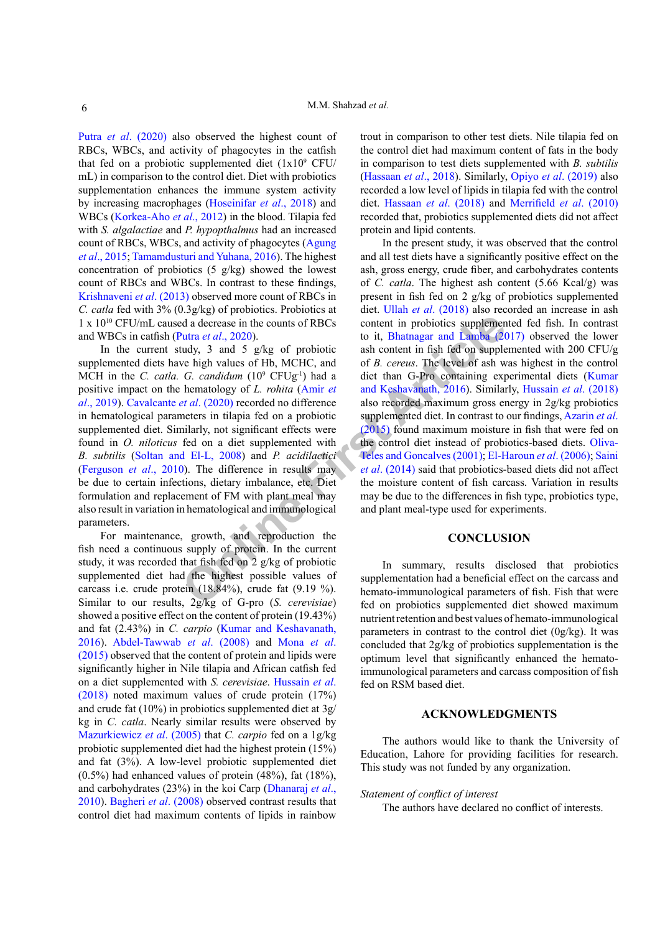Putra *et al*[. \(2020\)](#page-7-10) also observed the highest count of RBCs, WBCs, and activity of phagocytes in the catfish that fed on a probiotic supplemented diet  $(1x10^9 \text{ CFU})$ mL) in comparison to the control diet. Diet with probiotics supplementation enhances the immune system activity by increasing macrophages ([Hoseinifar](#page-6-9) *et al*., 2018) and WBCs [\(Korkea-Aho](#page-7-11) *et al*., 2012) in the blood. Tilapia fed with *S. algalactiae* and *P. hypopthalmus* had an increased count of RBCs, WBCs, and activity of phagocytes [\(Agung](#page-6-10) *et al*[., 2015](#page-6-10); [Tamamdusturi and Yuhana, 2016](#page-8-9)). The highest concentration of probiotics (5 g/kg) showed the lowest count of RBCs and WBCs. In contrast to these findings, [Krishnaveni](#page-7-12) *et al*. (2013) observed more count of RBCs in *C. catla* fed with 3% (0.3g/kg) of probiotics. Probiotics at 1 x 1010 CFU/mL caused a decrease in the counts of RBCs and WBCs in catfish (Putra *et al*., 2020).

In the current study, 3 and 5  $g/kg$  of probiotic supplemented diets have high values of Hb, MCHC, and MCH in the *C. catla. G. candidum* (109 CFUg-1) had a positive impact on the hematology of *L. rohita* (Amir *et al*[., 2019](#page-6-11)). Cavalcante *et al*. (2020) recorded no difference in hematological parameters in tilapia fed on a probiotic supplemented diet. Similarly, not significant effects were found in *O. niloticus* fed on a diet supplemented with *B. subtilis* ([Soltan and El-L, 2008\)](#page-8-10) and *P. acidilactici* [\(Ferguson](#page-6-13) *et al*., 2010). The difference in results may be due to certain infections, dietary imbalance, etc. Diet formulation and replacement of FM with plant meal may also result in variation in hematological and immunological parameters.

For maintenance, growth, and reproduction the fish need a continuous supply of protein. In the current study, it was recorded that fish fed on 2 g/kg of probiotic supplemented diet had the highest possible values of carcass i.e. crude protein (18.84%), crude fat (9.19 %). Similar to our results, 2g/kg of G-pro (*S. cerevisiae*) showed a positive effect on the content of protein (19.43%) and fat (2.43%) in *C. carpio* ([Kumar and Keshavanath,](#page-7-13) [2016\)](#page-7-13). [Abdel-Tawwab](#page-6-14) *et al*. (2008) and [Mona](#page-7-14) *et al*. [\(2015\)](#page-7-14) observed that the content of protein and lipids were significantly higher in Nile tilapia and African catfish fed on a diet supplemented with *S. cerevisiae*. Hussain *et al*. (2018) noted maximum values of crude protein (17%) and crude fat (10%) in probiotics supplemented diet at 3g/ kg in *C. catla*. Nearly similar results were observed by Mazurkiewicz *et al*. (2005) that *C. carpio* fed on a 1g/kg probiotic supplemented diet had the highest protein (15%) and fat (3%). A low-level probiotic supplemented diet  $(0.5\%)$  had enhanced values of protein  $(48\%)$ , fat  $(18\%)$ , and carbohydrates (23%) in the koi Carp [\(Dhanaraj](#page-6-15) *et al*., [2010\)](#page-6-15). [Bagheri](#page-6-16) *et al*. (2008) observed contrast results that control diet had maximum contents of lipids in rainbow

trout in comparison to other test diets. Nile tilapia fed on the control diet had maximum content of fats in the body in comparison to test diets supplemented with *B. subtilis* (Hassaan *et al*., 2018). Similarly, Opiyo *et al*[. \(2019\)](#page-7-15) also recorded a low level of lipids in tilapia fed with the control diet. Hassaan *et al*. (2018) and [Merrifield](#page-7-1) *et al*. (2010) recorded that, probiotics supplemented diets did not affect protein and lipid contents.

**Example 10** and a decrease in [t](#page-6-18)he counts of RBCs<br>
to it, Bhatnagar and Lamba (20<br>
to it, Bhatnagar and Lamba (20<br>
to it, Bhatnagar and Lamba (20<br>
to it, Bhatnagar and Lamba (20<br>
to it, Bhatnagar and Lamba (20<br>
or B. carr In the present study, it was observed that the control and all test diets have a significantly positive effect on the ash, gross energy, crude fiber, and carbohydrates contents of *C. catla*. The highest ash content (5.66 Kcal/g) was present in fish fed on 2 g/kg of probiotics supplemented diet. Ullah *et al*[. \(2018\)](#page-8-11) also recorded an increase in ash content in probiotics supplemented fed fish. In contrast to it, Bhatnagar and Lamba (2017) observed the lower ash content in fish fed on supplemented with 200 CFU/g of *B. cereus*. The level of ash was highest in the control diet than G-Pro containing experimental diets [\(Kumar](#page-7-13)  and Keshavanath, 2016). Similarly, [Hussain](#page-7-9) *et al*. (2018) also recorded maximum gross energy in 2g/kg probiotics supplemented diet. In contrast to our findings, [Azarin](#page-6-18) *et al*. (2015) found maximum moisture in fish that were fed on the control diet instead of probiotics-based diets. [Oliva-](#page-7-16)Teles and Goncalves (2001); [El-Haroun](#page-6-7) *et al*. (2006); [Saini](#page-8-12)  *et al*. (2014) said that probiotics-based diets did not affect the moisture content of fish carcass. Variation in results may be due to the differences in fish type, probiotics type, and plant meal-type used for experiments.

# **CONCLUSION**

In summary, results disclosed that probiotics supplementation had a beneficial effect on the carcass and hemato-immunological parameters of fish. Fish that were fed on probiotics supplemented diet showed maximum nutrient retention and best values of hemato-immunological parameters in contrast to the control diet (0g/kg). It was concluded that 2g/kg of probiotics supplementation is the optimum level that significantly enhanced the hematoimmunological parameters and carcass composition of fish fed on RSM based diet.

# **ACKNOWLEDGMENTS**

The authors would like to thank the University of Education, Lahore for providing facilities for research. This study was not funded by any organization.

# *Statement of conflict of interest*

The authors have declared no conflict of interests.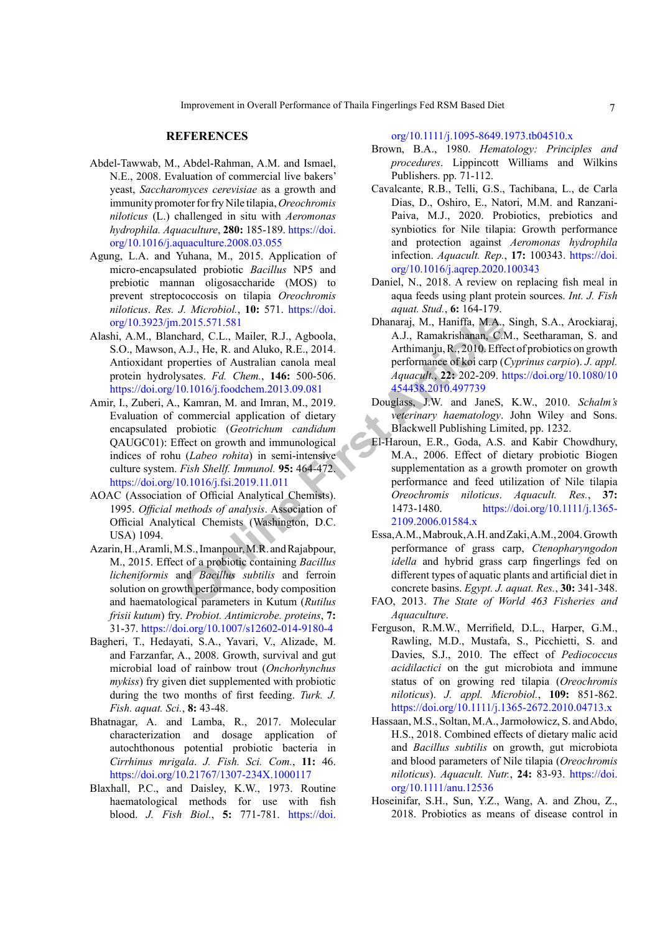#### **REFERENCES**

- <span id="page-6-14"></span>Abdel-Tawwab, M., Abdel-Rahman, A.M. and Ismael, N.E., 2008. Evaluation of commercial live bakers' yeast, *Saccharomyces cerevisiae* as a growth and immunity promoter for fry Nile tilapia, *Oreochromis niloticus* (L.) challenged in situ with *Aeromonas hydrophila. Aquaculture*, **280:** 185-189. [https://doi.](https://doi.org/10.1016/j.aquaculture.2008.03.055) [org/10.1016/j.aquaculture.2008.03.055](https://doi.org/10.1016/j.aquaculture.2008.03.055)
- <span id="page-6-10"></span>Agung, L.A. and Yuhana, M., 2015. Application of micro-encapsulated probiotic *Bacillus* NP5 and prebiotic mannan oligosaccharide (MOS) to prevent streptococcosis on tilapia *Oreochromis niloticus*. *Res. J. Microbiol.*, **10:** 571. [https://doi.](https://doi.org/10.3923/jm.2015.571.581) [org/10.3923/jm.2015.571.581](https://doi.org/10.3923/jm.2015.571.581)
- <span id="page-6-11"></span><span id="page-6-2"></span>Alashi, A.M., Blanchard, C.L., Mailer, R.J., Agboola, S.O., Mawson, A.J., He, R. and Aluko, R.E., 2014. Antioxidant properties of Australian canola meal protein hydrolysates. *Fd. Chem.*, **146:** 500-506. <https://doi.org/10.1016/j.foodchem.2013.09.081>
- 2015.571.581<br>
2015.571.581<br>
2015.571.581<br>
hand, C.L., Mailer, R.J., Agboola,<br>
A.J., Ramakrishanan, C.N.<br>
hand, C.L., Mailer, R.J., Agboola,<br>
4.J., Ramakrishanan, C.N.<br>
states. Fd. Chem., 146: 500-506.<br>
454438-2010.497739<br> Amir, I., Zuberi, A., Kamran, M. and Imran, M., 2019. Evaluation of commercial application of dietary encapsulated probiotic (*Geotrichum candidum*  QAUGC01): Effect on growth and immunological indices of rohu (*Labeo rohita*) in semi-intensive culture system. *Fish Shellf. Immunol.* **95:** 464-472. <https://doi.org/10.1016/j.fsi.2019.11.011>
- <span id="page-6-4"></span>AOAC (Association of Official Analytical Chemists). 1995. *Official methods of analysis*. Association of Official Analytical Chemists (Washington, D.C. USA) 1094.
- <span id="page-6-18"></span>Azarin, H., Aramli, M.S., Imanpour, M.R. and Rajabpour, M., 2015. Effect of a probiotic containing *Bacillus licheniformis* and *Bacillus subtilis* and ferroin solution on growth performance, body composition and haematological parameters in Kutum (*Rutilus frisii kutum*) fry. *Probiot. Antimicrobe. proteins*, **7:** 31-37.<https://doi.org/10.1007/s12602-014-9180-4>
- <span id="page-6-16"></span>Bagheri, T., Hedayati, S.A., Yavari, V., Alizade, M. and Farzanfar, A., 2008. Growth, survival and gut microbial load of rainbow trout (*Onchorhynchus mykiss*) fry given diet supplemented with probiotic during the two months of first feeding. *Turk. J. Fish. aquat. Sci.*, **8:** 43-48.
- <span id="page-6-17"></span>Bhatnagar, A. and Lamba, R., 2017. Molecular characterization and dosage application of autochthonous potential probiotic bacteria in *Cirrhinus mrigala*. *J. Fish. Sci. Com.*, **11:** 46. <https://doi.org/10.21767/1307-234X.1000117>
- <span id="page-6-6"></span>Blaxhall, P.C., and Daisley, K.W., 1973. Routine haematological methods for use with fish blood. *J. Fish Biol.*, **5:** 771-781. [https://doi.](https://doi.org/10.1111/j.1095-8649.1973.tb04510.x)

[org/10.1111/j.1095-8649.1973.tb04510.x](https://doi.org/10.1111/j.1095-8649.1973.tb04510.x)

- <span id="page-6-5"></span>Brown, B.A., 1980. *Hematology: Principles and procedures*. Lippincott Williams and Wilkins Publishers. pp. 71-112.
- <span id="page-6-12"></span>Cavalcante, R.B., Telli, G.S., Tachibana, L., de Carla Dias, D., Oshiro, E., Natori, M.M. and Ranzani-Paiva, M.J., 2020. Probiotics, prebiotics and synbiotics for Nile tilapia: Growth performance and protection against *Aeromonas hydrophila*  infection. *Aquacult. Rep.*, **17:** 100343. [https://doi.](https://doi.org/10.1016/j.aqrep.2020.100343) [org/10.1016/j.aqrep.2020.100343](https://doi.org/10.1016/j.aqrep.2020.100343)
- <span id="page-6-1"></span>Daniel, N., 2018. A review on replacing fish meal in aqua feeds using plant protein sources. *Int. J. Fish aquat. Stud.*, **6:** 164-179.
- <span id="page-6-15"></span>Dhanaraj, M., Haniffa, M.A., Singh, S.A., Arockiaraj, A.J., Ramakrishanan, C.M., Seetharaman, S. and Arthimanju, R., 2010. Effect of probiotics on growth performance of koi carp (*Cyprinus carpio*). *J. appl. Aquacult.*, **22:** 202-209. [https://doi.org/10.1080/10](https://doi.org/10.1080/10454438.2010.497739) 454438.2010.497739
- <span id="page-6-8"></span>Douglass, J.W. and JaneS, K.W., 2010. *Schalm's veterinary haematology*. John Wiley and Sons. Blackwell Publishing Limited, pp. 1232.
- <span id="page-6-7"></span>El-Haroun, E.R., Goda, A.S. and Kabir Chowdhury, M.A., 2006. Effect of dietary probiotic Biogen supplementation as a growth promoter on growth performance and feed utilization of Nile tilapia *Oreochromis niloticus*. *Aquacult. Res.*, **37:** [https://doi.org/10.1111/j.1365-](https://doi.org/10.1111/j.1365-2109.2006.01584.x) 2109.2006.01584.x
- <span id="page-6-0"></span>Essa, A.M., Mabrouk, A.H. and Zaki, A.M., 2004. Growth performance of grass carp, *Ctenopharyngodon idella* and hybrid grass carp fingerlings fed on different types of aquatic plants and artificial diet in concrete basins. *Egypt. J. aquat. Res.*, **30:** 341-348.
- <span id="page-6-3"></span>FAO, 2013. *The State of World 463 Fisheries and Aquaculture*.
- <span id="page-6-13"></span>Ferguson, R.M.W., Merrifield, D.L., Harper, G.M., Rawling, M.D., Mustafa, S., Picchietti, S. and Davies, S.J., 2010. The effect of *Pediococcus acidilactici* on the gut microbiota and immune status of on growing red tilapia (*Oreochromis niloticus*). *J. appl. Microbiol.*, **109:** 851-862. <https://doi.org/10.1111/j.1365-2672.2010.04713.x>
- Hassaan, M.S., Soltan, M.A., Jarmołowicz, S. and Abdo, H.S., 2018. Combined effects of dietary malic acid and *Bacillus subtilis* on growth, gut microbiota and blood parameters of Nile tilapia (*Oreochromis niloticus*). *Aquacult. Nutr.*, **24:** 83-93. [https://doi.](https://doi.org/10.1111/anu.12536) [org/10.1111/anu.12536](https://doi.org/10.1111/anu.12536)
- <span id="page-6-9"></span>Hoseinifar, S.H., Sun, Y.Z., Wang, A. and Zhou, Z., 2018. Probiotics as means of disease control in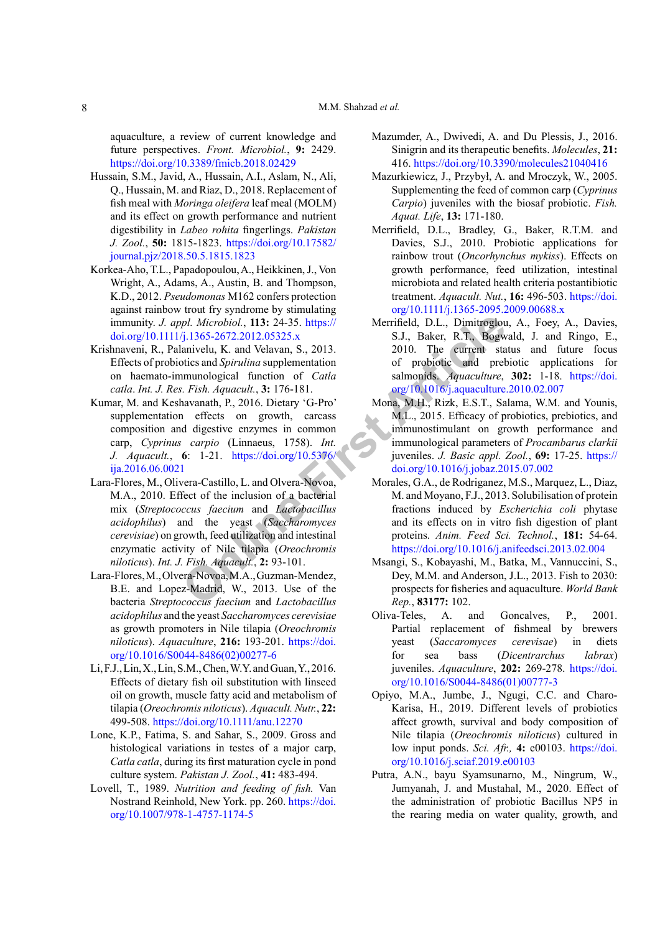aquaculture, a review of current knowledge and future perspectives. *Front. Microbiol.*, **9:** 2429. <https://doi.org/10.3389/fmicb.2018.02429>

- <span id="page-7-9"></span>Hussain, S.M., Javid, A., Hussain, A.I., Aslam, N., Ali, Q., Hussain, M. and Riaz, D., 2018. Replacement of fish meal with *Moringa oleifera* leaf meal (MOLM) and its effect on growth performance and nutrient digestibility in *Labeo rohita* fingerlings. *Pakistan J. Zool.*, **50:** 1815-1823. [https://doi.org/10.17582/](https://doi.org/10.17582/journal.pjz/2018.50.5.1815.1823) [journal.pjz/2018.50.5.1815.1823](https://doi.org/10.17582/journal.pjz/2018.50.5.1815.1823)
- <span id="page-7-11"></span>Korkea-Aho, T.L., Papadopoulou, A., Heikkinen, J., Von Wright, A., Adams, A., Austin, B. and Thompson, K.D., 2012. *Pseudomonas* M162 confers protection against rainbow trout fry syndrome by stimulating immunity. *J. appl. Microbiol.*, **113:** 24-35. https:// [doi.org/10.1111/j.1365-2672.2012.05325.x](https://doi.org/10.1111/j.1365-2672.2012.05325.x)
- <span id="page-7-12"></span>Krishnaveni, R., Palanivelu, K. and Velavan, S., 2013. Effects of probiotics and *Spirulina* supplementation on haemato-immunological function of *Catla catla*. *Int. J. Res. Fish. Aquacult.*, **3:** 176-181.
- <span id="page-7-13"></span><span id="page-7-8"></span>Kumar, M. and Keshavanath, P., 2016. Dietary 'G-Pro' supplementation effects on growth, carcass composition and digestive enzymes in common carp, *Cyprinus carpio* (Linnaeus, 1758). *Int. J. Aquacult.*, **6**: 1-21. https://doi.org/10.5376/ [ija.2016.06.0021](https://doi.org/10.5376/ija.2016.06.0021)
- *ppl. Microbiol.*, 113: 24-35. https://<br>
/j.1365-2672.2012.05325.x<br>
/j.1365-2672.2012.05325.x<br>
S.J., Baker, R.T., Bogwanivelu, K. and Velavan, S., 2013.<br>
2010. The current state<br>
mumological function of Catla salmonids. Aq Lara-Flores, M., Olivera-Castillo, L. and Olvera-Novoa, M.A., 2010. Effect of the inclusion of a bacterial mix (*Streptococcus faecium* and *Lactobacillus acidophilus*) and the yeast (*Saccharomyces cerevisiae*) on growth, feed utilization and intestinal enzymatic activity of Nile tilapia (*Oreochromis niloticus*). *Int. J. Fish. Aquacult.*, **2:** 93-101.
- <span id="page-7-7"></span>Lara-Flores, M., Olvera-Novoa, M.A., Guzman-Mendez, B.E. and Lopez-Madrid, W., 2013. Use of the bacteria *Streptococcus faecium* and *Lactobacillus acidophilus* and the yeast *Saccharomyces cerevisiae* as growth promoters in Nile tilapia (*Oreochromis niloticus*). *Aquaculture*, **216:** 193-201. [https://doi.](https://doi.org/10.1016/S0044-8486(02)00277-6) [org/10.1016/S0044-8486\(02\)00277-6](https://doi.org/10.1016/S0044-8486(02)00277-6)
- <span id="page-7-2"></span>Li, F.J., Lin, X., Lin, S.M., Chen, W.Y. and Guan, Y., 2016. Effects of dietary fish oil substitution with linseed oil on growth, muscle fatty acid and metabolism of tilapia (*Oreochromis niloticus*). *Aquacult. Nutr.*, **22:**  499-508. <https://doi.org/10.1111/anu.12270>
- <span id="page-7-5"></span>Lone, K.P., Fatima, S. and Sahar, S., 2009. Gross and histological variations in testes of a major carp, *Catla catla*, during its first maturation cycle in pond culture system. *Pakistan J. Zool.*, **41:** 483-494.
- <span id="page-7-6"></span>Lovell, T., 1989. *Nutrition and feeding of fish.* Van Nostrand Reinhold, New York. pp. 260. [https://doi.](https://doi.org/10.1007/978-1-4757-1174-5) [org/10.1007/978-1-4757-1174-5](https://doi.org/10.1007/978-1-4757-1174-5)
- <span id="page-7-4"></span>Mazumder, A., Dwivedi, A. and Du Plessis, J., 2016. Sinigrin and its therapeutic benefits. *Molecules*, **21:** 416.<https://doi.org/10.3390/molecules21040416>
- Mazurkiewicz, J., Przybył, A. and Mroczyk, W., 2005. Supplementing the feed of common carp (*Cyprinus Carpio*) juveniles with the biosaf probiotic. *Fish. Aquat. Life*, **13:** 171-180.
- <span id="page-7-1"></span>Merrifield, D.L., Bradley, G., Baker, R.T.M. and Davies, S.J., 2010. Probiotic applications for rainbow trout (*Oncorhynchus mykiss*). Effects on growth performance, feed utilization, intestinal microbiota and related health criteria postantibiotic treatment. *Aquacult. Nut.*, **16:** 496-503. [https://doi.](https://doi.org/10.1111/j.1365-2095.2009.00688.x) [org/10.1111/j.1365-2095.2009.00688.x](https://doi.org/10.1111/j.1365-2095.2009.00688.x)
- Merrifield, D.L., Dimitroglou, A., Foey, A., Davies, S.J., Baker, R.T., Bogwald, J. and Ringo, E., 2010. The current status and future focus of probiotic and prebiotic applications for salmonids. *Aquaculture*, **302:** 1-18. [https://doi.](https://doi.org/10.1016/j.aquaculture.2010.02.007) [org/10.1016/j.aquaculture.2010.02.007](https://doi.org/10.1016/j.aquaculture.2010.02.007)
- <span id="page-7-14"></span>Mona, M.H., Rizk, E.S.T., Salama, W.M. and Younis, M.L., 2015. Efficacy of probiotics, prebiotics, and immunostimulant on growth performance and immunological parameters of *Procambarus clarkii* juveniles. *J. Basic appl. Zool.*, **69:** 17-25. [https://](https://doi.org/10.1016/j.jobaz.2015.07.002) [doi.org/10.1016/j.jobaz.2015.07.002](https://doi.org/10.1016/j.jobaz.2015.07.002)
- <span id="page-7-3"></span>Morales, G.A., de Rodriganez, M.S., Marquez, L., Diaz, M. and Moyano, F.J., 2013. Solubilisation of protein fractions induced by *Escherichia coli* phytase and its effects on in vitro fish digestion of plant proteins. *Anim. Feed Sci. Technol.*, **181:** 54-64. <https://doi.org/10.1016/j.anifeedsci.2013.02.004>
- <span id="page-7-0"></span>Msangi, S., Kobayashi, M., Batka, M., Vannuccini, S., Dey, M.M. and Anderson, J.L., 2013. Fish to 2030: prospects for fisheries and aquaculture. *World Bank Rep.*, **83177:** 102.
- <span id="page-7-16"></span>Oliva-Teles, A. and Goncalves, P., 2001. Partial replacement of fishmeal by brewers yeast (*Saccaromyces cerevisae*) in diets for sea bass (*Dicentrarchus labrax*) juveniles. *Aquaculture*, **202:** 269-278. [https://doi.](https://doi.org/10.1016/S0044-8486(01)00777-3) [org/10.1016/S0044-8486\(01\)00777-3](https://doi.org/10.1016/S0044-8486(01)00777-3)
- <span id="page-7-15"></span>Opiyo, M.A., Jumbe, J., Ngugi, C.C. and Charo-Karisa, H., 2019. Different levels of probiotics affect growth, survival and body composition of Nile tilapia (*Oreochromis niloticus*) cultured in low input ponds. *Sci. Afr.,* **4:** e00103. [https://doi.](https://doi.org/10.1016/j.sciaf.2019.e00103) [org/10.1016/j.sciaf.2019.e00103](https://doi.org/10.1016/j.sciaf.2019.e00103)
- <span id="page-7-10"></span>Putra, A.N., bayu Syamsunarno, M., Ningrum, W., Jumyanah, J. and Mustahal, M., 2020. Effect of the administration of probiotic Bacillus NP5 in the rearing media on water quality, growth, and